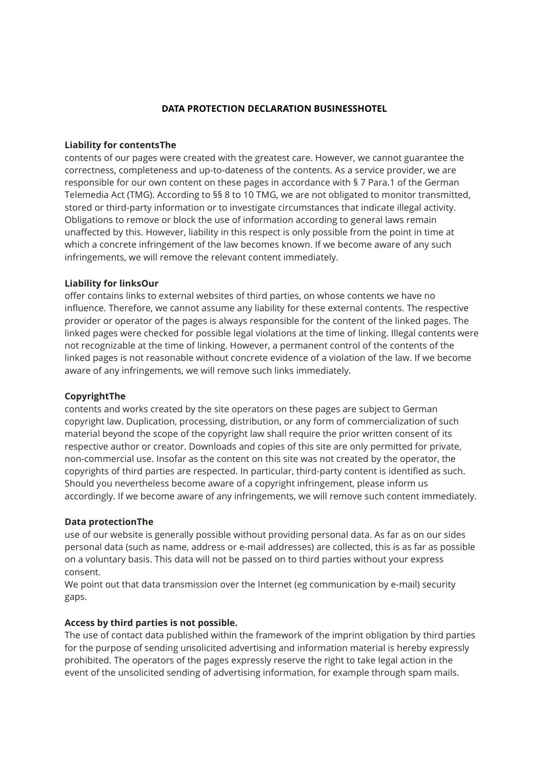## **DATA PROTECTION DECLARATION BUSINESSHOTEL**

#### **Liability for contentsThe**

contents of our pages were created with the greatest care. However, we cannot guarantee the correctness, completeness and up-to-dateness of the contents. As a service provider, we are responsible for our own content on these pages in accordance with § 7 Para.1 of the German Telemedia Act (TMG). According to §§ 8 to 10 TMG, we are not obligated to monitor transmitted, stored or third-party information or to investigate circumstances that indicate illegal activity. Obligations to remove or block the use of information according to general laws remain unaffected by this. However, liability in this respect is only possible from the point in time at which a concrete infringement of the law becomes known. If we become aware of any such infringements, we will remove the relevant content immediately.

#### **Liability for linksOur**

offer contains links to external websites of third parties, on whose contents we have no influence. Therefore, we cannot assume any liability for these external contents. The respective provider or operator of the pages is always responsible for the content of the linked pages. The linked pages were checked for possible legal violations at the time of linking. Illegal contents were not recognizable at the time of linking. However, a permanent control of the contents of the linked pages is not reasonable without concrete evidence of a violation of the law. If we become aware of any infringements, we will remove such links immediately.

#### **CopyrightThe**

contents and works created by the site operators on these pages are subject to German copyright law. Duplication, processing, distribution, or any form of commercialization of such material beyond the scope of the copyright law shall require the prior written consent of its respective author or creator. Downloads and copies of this site are only permitted for private, non-commercial use. Insofar as the content on this site was not created by the operator, the copyrights of third parties are respected. In particular, third-party content is identified as such. Should you nevertheless become aware of a copyright infringement, please inform us accordingly. If we become aware of any infringements, we will remove such content immediately.

#### **Data protectionThe**

use of our website is generally possible without providing personal data. As far as on our sides personal data (such as name, address or e-mail addresses) are collected, this is as far as possible on a voluntary basis. This data will not be passed on to third parties without your express consent.

We point out that data transmission over the Internet (eg communication by e-mail) security gaps.

#### **Access by third parties is not possible.**

The use of contact data published within the framework of the imprint obligation by third parties for the purpose of sending unsolicited advertising and information material is hereby expressly prohibited. The operators of the pages expressly reserve the right to take legal action in the event of the unsolicited sending of advertising information, for example through spam mails.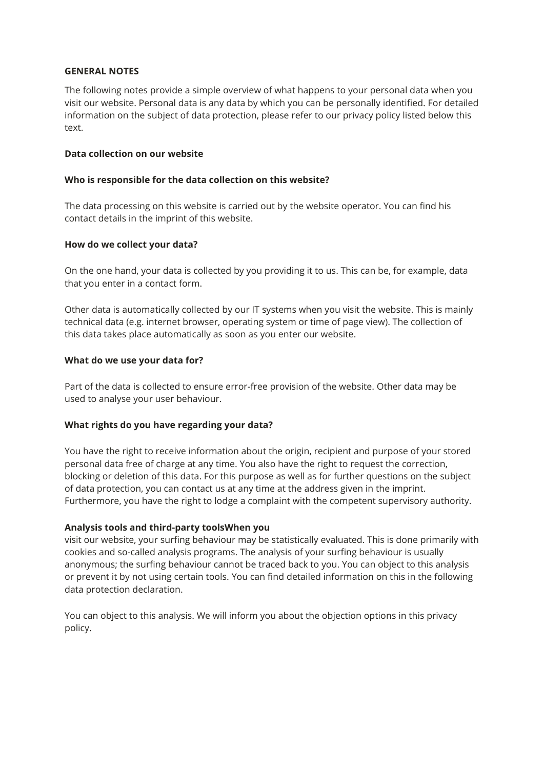### **GENERAL NOTES**

The following notes provide a simple overview of what happens to your personal data when you visit our website. Personal data is any data by which you can be personally identified. For detailed information on the subject of data protection, please refer to our privacy policy listed below this text.

## **Data collection on our website**

## **Who is responsible for the data collection on this website?**

The data processing on this website is carried out by the website operator. You can find his contact details in the imprint of this website.

## **How do we collect your data?**

On the one hand, your data is collected by you providing it to us. This can be, for example, data that you enter in a contact form.

Other data is automatically collected by our IT systems when you visit the website. This is mainly technical data (e.g. internet browser, operating system or time of page view). The collection of this data takes place automatically as soon as you enter our website.

## **What do we use your data for?**

Part of the data is collected to ensure error-free provision of the website. Other data may be used to analyse your user behaviour.

# **What rights do you have regarding your data?**

You have the right to receive information about the origin, recipient and purpose of your stored personal data free of charge at any time. You also have the right to request the correction, blocking or deletion of this data. For this purpose as well as for further questions on the subject of data protection, you can contact us at any time at the address given in the imprint. Furthermore, you have the right to lodge a complaint with the competent supervisory authority.

#### **Analysis tools and third-party toolsWhen you**

visit our website, your surfing behaviour may be statistically evaluated. This is done primarily with cookies and so-called analysis programs. The analysis of your surfing behaviour is usually anonymous; the surfing behaviour cannot be traced back to you. You can object to this analysis or prevent it by not using certain tools. You can find detailed information on this in the following data protection declaration.

You can object to this analysis. We will inform you about the objection options in this privacy policy.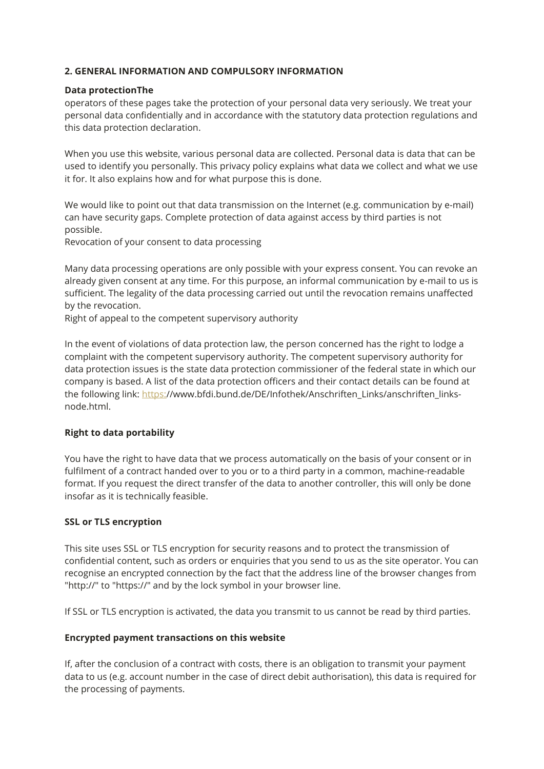# **2. GENERAL INFORMATION AND COMPULSORY INFORMATION**

## **Data protectionThe**

operators of these pages take the protection of your personal data very seriously. We treat your personal data confidentially and in accordance with the statutory data protection regulations and this data protection declaration.

When you use this website, various personal data are collected. Personal data is data that can be used to identify you personally. This privacy policy explains what data we collect and what we use it for. It also explains how and for what purpose this is done.

We would like to point out that data transmission on the Internet (e.g. communication by e-mail) can have security gaps. Complete protection of data against access by third parties is not possible.

Revocation of your consent to data processing

Many data processing operations are only possible with your express consent. You can revoke an already given consent at any time. For this purpose, an informal communication by e-mail to us is sufficient. The legality of the data processing carried out until the revocation remains unaffected by the revocation.

Right of appeal to the competent supervisory authority

In the event of violations of data protection law, the person concerned has the right to lodge a complaint with the competent supervisory authority. The competent supervisory authority for data protection issues is the state data protection commissioner of the federal state in which our company is based. A list of the data protection officers and their contact details can be found at the following link: https://www.bfdi.bund.de/DE/Infothek/Anschriften\_Links/anschriften\_linksnode.html.

# **Right to data portability**

You have the right to have data that we process automatically on the basis of your consent or in fulfilment of a contract handed over to you or to a third party in a common, machine-readable format. If you request the direct transfer of the data to another controller, this will only be done insofar as it is technically feasible.

# **SSL or TLS encryption**

This site uses SSL or TLS encryption for security reasons and to protect the transmission of confidential content, such as orders or enquiries that you send to us as the site operator. You can recognise an encrypted connection by the fact that the address line of the browser changes from "http://" to "https://" and by the lock symbol in your browser line.

If SSL or TLS encryption is activated, the data you transmit to us cannot be read by third parties.

# **Encrypted payment transactions on this website**

If, after the conclusion of a contract with costs, there is an obligation to transmit your payment data to us (e.g. account number in the case of direct debit authorisation), this data is required for the processing of payments.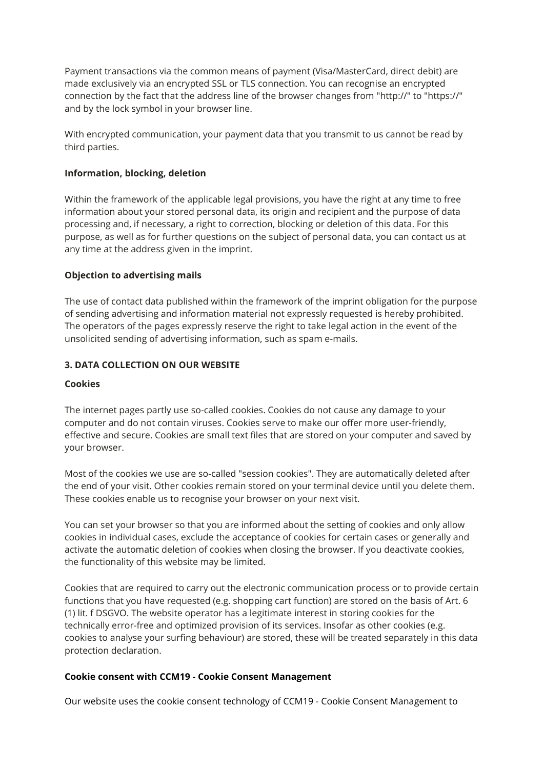Payment transactions via the common means of payment (Visa/MasterCard, direct debit) are made exclusively via an encrypted SSL or TLS connection. You can recognise an encrypted connection by the fact that the address line of the browser changes from "http://" to "https://" and by the lock symbol in your browser line.

With encrypted communication, your payment data that you transmit to us cannot be read by third parties.

## **Information, blocking, deletion**

Within the framework of the applicable legal provisions, you have the right at any time to free information about your stored personal data, its origin and recipient and the purpose of data processing and, if necessary, a right to correction, blocking or deletion of this data. For this purpose, as well as for further questions on the subject of personal data, you can contact us at any time at the address given in the imprint.

## **Objection to advertising mails**

The use of contact data published within the framework of the imprint obligation for the purpose of sending advertising and information material not expressly requested is hereby prohibited. The operators of the pages expressly reserve the right to take legal action in the event of the unsolicited sending of advertising information, such as spam e-mails.

# **3. DATA COLLECTION ON OUR WEBSITE**

#### **Cookies**

The internet pages partly use so-called cookies. Cookies do not cause any damage to your computer and do not contain viruses. Cookies serve to make our offer more user-friendly, effective and secure. Cookies are small text files that are stored on your computer and saved by your browser.

Most of the cookies we use are so-called "session cookies". They are automatically deleted after the end of your visit. Other cookies remain stored on your terminal device until you delete them. These cookies enable us to recognise your browser on your next visit.

You can set your browser so that you are informed about the setting of cookies and only allow cookies in individual cases, exclude the acceptance of cookies for certain cases or generally and activate the automatic deletion of cookies when closing the browser. If you deactivate cookies, the functionality of this website may be limited.

Cookies that are required to carry out the electronic communication process or to provide certain functions that you have requested (e.g. shopping cart function) are stored on the basis of Art. 6 (1) lit. f DSGVO. The website operator has a legitimate interest in storing cookies for the technically error-free and optimized provision of its services. Insofar as other cookies (e.g. cookies to analyse your surfing behaviour) are stored, these will be treated separately in this data protection declaration.

#### **Cookie consent with CCM19 - Cookie Consent Management**

Our website uses the cookie consent technology of CCM19 - Cookie Consent Management to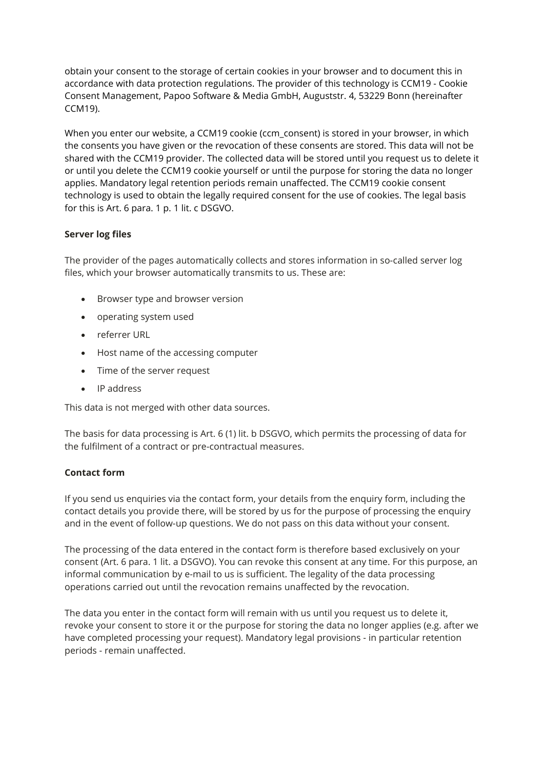obtain your consent to the storage of certain cookies in your browser and to document this in accordance with data protection regulations. The provider of this technology is CCM19 - Cookie Consent Management, Papoo Software & Media GmbH, Auguststr. 4, 53229 Bonn (hereinafter CCM19).

When you enter our website, a CCM19 cookie (ccm\_consent) is stored in your browser, in which the consents you have given or the revocation of these consents are stored. This data will not be shared with the CCM19 provider. The collected data will be stored until you request us to delete it or until you delete the CCM19 cookie yourself or until the purpose for storing the data no longer applies. Mandatory legal retention periods remain unaffected. The CCM19 cookie consent technology is used to obtain the legally required consent for the use of cookies. The legal basis for this is Art. 6 para. 1 p. 1 lit. c DSGVO.

# **Server log files**

The provider of the pages automatically collects and stores information in so-called server log files, which your browser automatically transmits to us. These are:

- Browser type and browser version
- operating system used
- referrer URL
- Host name of the accessing computer
- Time of the server request
- IP address

This data is not merged with other data sources.

The basis for data processing is Art. 6 (1) lit. b DSGVO, which permits the processing of data for the fulfilment of a contract or pre-contractual measures.

# **Contact form**

If you send us enquiries via the contact form, your details from the enquiry form, including the contact details you provide there, will be stored by us for the purpose of processing the enquiry and in the event of follow-up questions. We do not pass on this data without your consent.

The processing of the data entered in the contact form is therefore based exclusively on your consent (Art. 6 para. 1 lit. a DSGVO). You can revoke this consent at any time. For this purpose, an informal communication by e-mail to us is sufficient. The legality of the data processing operations carried out until the revocation remains unaffected by the revocation.

The data you enter in the contact form will remain with us until you request us to delete it, revoke your consent to store it or the purpose for storing the data no longer applies (e.g. after we have completed processing your request). Mandatory legal provisions - in particular retention periods - remain unaffected.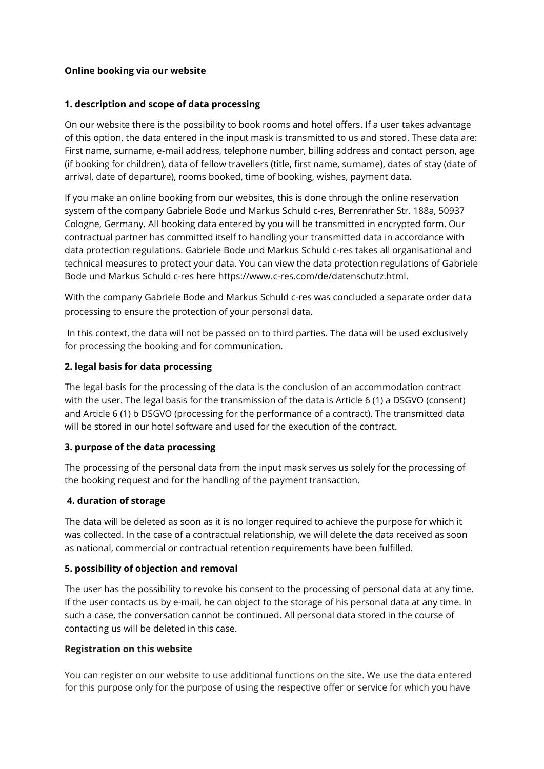# **Online booking via our website**

## **1. description and scope of data processing**

On our website there is the possibility to book rooms and hotel offers. If a user takes advantage of this option, the data entered in the input mask is transmitted to us and stored. These data are: First name, surname, e-mail address, telephone number, billing address and contact person, age (if booking for children), data of fellow travellers (title, first name, surname), dates of stay (date of arrival, date of departure), rooms booked, time of booking, wishes, payment data.

If you make an online booking from our websites, this is done through the online reservation system of the company Gabriele Bode und Markus Schuld c-res, Berrenrather Str. 188a, 50937 Cologne, Germany. All booking data entered by you will be transmitted in encrypted form. Our contractual partner has committed itself to handling your transmitted data in accordance with data protection regulations. Gabriele Bode und Markus Schuld c-res takes all organisational and technical measures to protect your data. You can view the data protection regulations of Gabriele Bode und Markus Schuld c-res here https://www.c-res.com/de/datenschutz.html.

With the company Gabriele Bode and Markus Schuld c-res was concluded a separate order data processing to ensure the protection of your personal data.

In this context, the data will not be passed on to third parties. The data will be used exclusively for processing the booking and for communication.

## **2. legal basis for data processing**

The legal basis for the processing of the data is the conclusion of an accommodation contract with the user. The legal basis for the transmission of the data is Article 6 (1) a DSGVO (consent) and Article 6 (1) b DSGVO (processing for the performance of a contract). The transmitted data will be stored in our hotel software and used for the execution of the contract.

#### **3. purpose of the data processing**

The processing of the personal data from the input mask serves us solely for the processing of the booking request and for the handling of the payment transaction.

### **4. duration of storage**

The data will be deleted as soon as it is no longer required to achieve the purpose for which it was collected. In the case of a contractual relationship, we will delete the data received as soon as national, commercial or contractual retention requirements have been fulfilled.

#### **5. possibility of objection and removal**

The user has the possibility to revoke his consent to the processing of personal data at any time. If the user contacts us by e-mail, he can object to the storage of his personal data at any time. In such a case, the conversation cannot be continued. All personal data stored in the course of contacting us will be deleted in this case.

#### **Registration on this website**

You can register on our website to use additional functions on the site. We use the data entered for this purpose only for the purpose of using the respective offer or service for which you have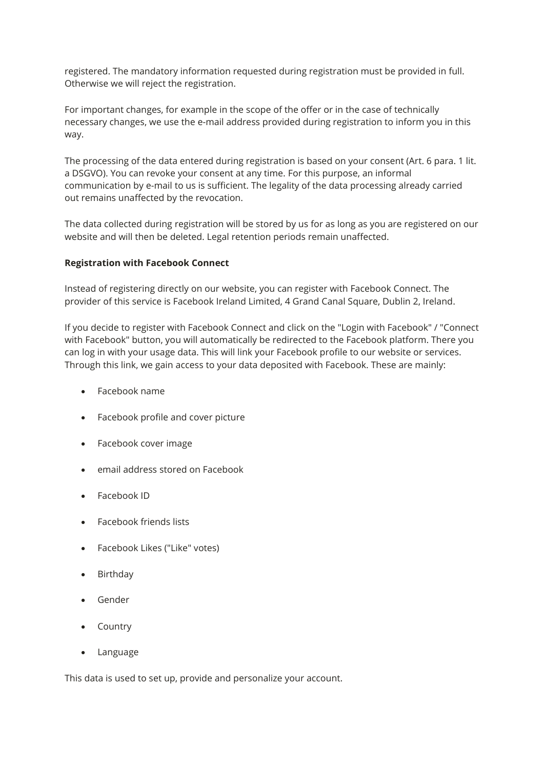registered. The mandatory information requested during registration must be provided in full. Otherwise we will reject the registration.

For important changes, for example in the scope of the offer or in the case of technically necessary changes, we use the e-mail address provided during registration to inform you in this way.

The processing of the data entered during registration is based on your consent (Art. 6 para. 1 lit. a DSGVO). You can revoke your consent at any time. For this purpose, an informal communication by e-mail to us is sufficient. The legality of the data processing already carried out remains unaffected by the revocation.

The data collected during registration will be stored by us for as long as you are registered on our website and will then be deleted. Legal retention periods remain unaffected.

## **Registration with Facebook Connect**

Instead of registering directly on our website, you can register with Facebook Connect. The provider of this service is Facebook Ireland Limited, 4 Grand Canal Square, Dublin 2, Ireland.

If you decide to register with Facebook Connect and click on the "Login with Facebook" / "Connect with Facebook" button, you will automatically be redirected to the Facebook platform. There you can log in with your usage data. This will link your Facebook profile to our website or services. Through this link, we gain access to your data deposited with Facebook. These are mainly:

- Facebook name
- Facebook profile and cover picture
- Facebook cover image
- email address stored on Facebook
- Facebook ID
- Facebook friends lists
- Facebook Likes ("Like" votes)
- Birthday
- Gender
- Country
- Language

This data is used to set up, provide and personalize your account.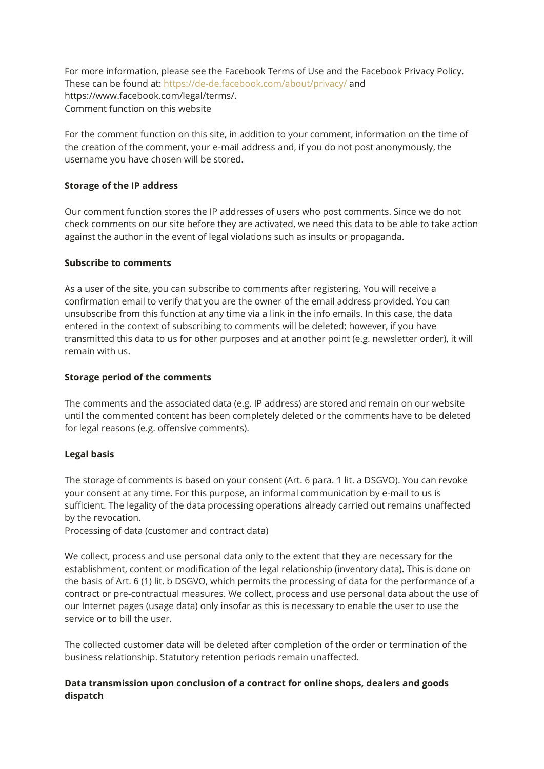For more information, please see the Facebook Terms of Use and the Facebook Privacy Policy. These can be found at: https://de-de.facebook.com/about/privacy/ and https://www.facebook.com/legal/terms/. Comment function on this website

For the comment function on this site, in addition to your comment, information on the time of the creation of the comment, your e-mail address and, if you do not post anonymously, the username you have chosen will be stored.

# **Storage of the IP address**

Our comment function stores the IP addresses of users who post comments. Since we do not check comments on our site before they are activated, we need this data to be able to take action against the author in the event of legal violations such as insults or propaganda.

# **Subscribe to comments**

As a user of the site, you can subscribe to comments after registering. You will receive a confirmation email to verify that you are the owner of the email address provided. You can unsubscribe from this function at any time via a link in the info emails. In this case, the data entered in the context of subscribing to comments will be deleted; however, if you have transmitted this data to us for other purposes and at another point (e.g. newsletter order), it will remain with us.

# **Storage period of the comments**

The comments and the associated data (e.g. IP address) are stored and remain on our website until the commented content has been completely deleted or the comments have to be deleted for legal reasons (e.g. offensive comments).

# **Legal basis**

The storage of comments is based on your consent (Art. 6 para. 1 lit. a DSGVO). You can revoke your consent at any time. For this purpose, an informal communication by e-mail to us is sufficient. The legality of the data processing operations already carried out remains unaffected by the revocation.

Processing of data (customer and contract data)

We collect, process and use personal data only to the extent that they are necessary for the establishment, content or modification of the legal relationship (inventory data). This is done on the basis of Art. 6 (1) lit. b DSGVO, which permits the processing of data for the performance of a contract or pre-contractual measures. We collect, process and use personal data about the use of our Internet pages (usage data) only insofar as this is necessary to enable the user to use the service or to bill the user.

The collected customer data will be deleted after completion of the order or termination of the business relationship. Statutory retention periods remain unaffected.

# **Data transmission upon conclusion of a contract for online shops, dealers and goods dispatch**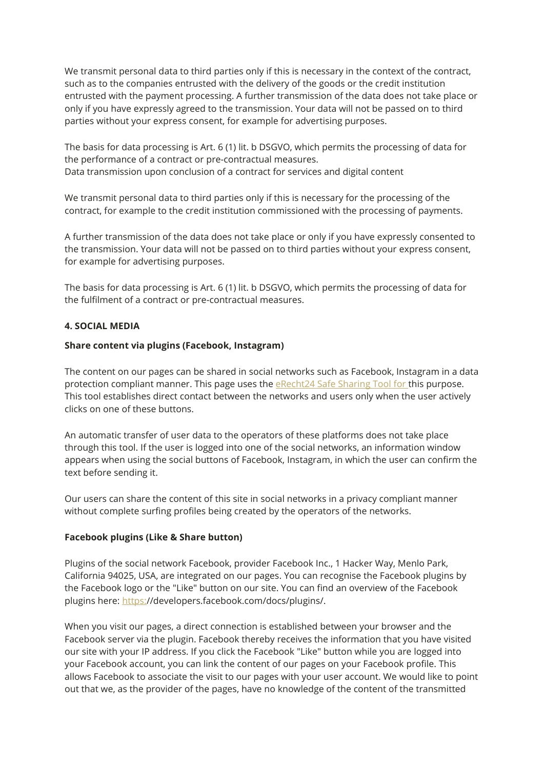We transmit personal data to third parties only if this is necessary in the context of the contract, such as to the companies entrusted with the delivery of the goods or the credit institution entrusted with the payment processing. A further transmission of the data does not take place or only if you have expressly agreed to the transmission. Your data will not be passed on to third parties without your express consent, for example for advertising purposes.

The basis for data processing is Art. 6 (1) lit. b DSGVO, which permits the processing of data for the performance of a contract or pre-contractual measures. Data transmission upon conclusion of a contract for services and digital content

We transmit personal data to third parties only if this is necessary for the processing of the contract, for example to the credit institution commissioned with the processing of payments.

A further transmission of the data does not take place or only if you have expressly consented to the transmission. Your data will not be passed on to third parties without your express consent, for example for advertising purposes.

The basis for data processing is Art. 6 (1) lit. b DSGVO, which permits the processing of data for the fulfilment of a contract or pre-contractual measures.

## **4. SOCIAL MEDIA**

#### **Share content via plugins (Facebook, Instagram)**

The content on our pages can be shared in social networks such as Facebook, Instagram in a data protection compliant manner. This page uses the eRecht24 Safe Sharing Tool for this purpose. This tool establishes direct contact between the networks and users only when the user actively clicks on one of these buttons.

An automatic transfer of user data to the operators of these platforms does not take place through this tool. If the user is logged into one of the social networks, an information window appears when using the social buttons of Facebook, Instagram, in which the user can confirm the text before sending it.

Our users can share the content of this site in social networks in a privacy compliant manner without complete surfing profiles being created by the operators of the networks.

#### **Facebook plugins (Like & Share button)**

Plugins of the social network Facebook, provider Facebook Inc., 1 Hacker Way, Menlo Park, California 94025, USA, are integrated on our pages. You can recognise the Facebook plugins by the Facebook logo or the "Like" button on our site. You can find an overview of the Facebook plugins here: https://developers.facebook.com/docs/plugins/.

When you visit our pages, a direct connection is established between your browser and the Facebook server via the plugin. Facebook thereby receives the information that you have visited our site with your IP address. If you click the Facebook "Like" button while you are logged into your Facebook account, you can link the content of our pages on your Facebook profile. This allows Facebook to associate the visit to our pages with your user account. We would like to point out that we, as the provider of the pages, have no knowledge of the content of the transmitted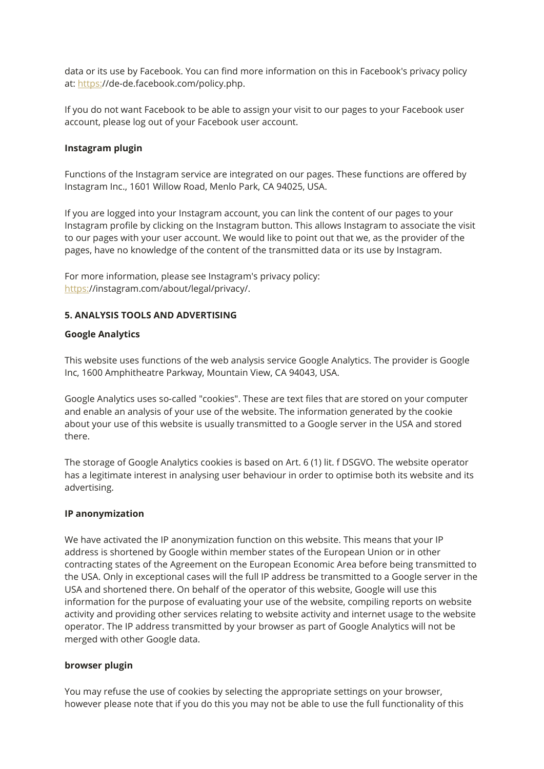data or its use by Facebook. You can find more information on this in Facebook's privacy policy at: https://de-de.facebook.com/policy.php.

If you do not want Facebook to be able to assign your visit to our pages to your Facebook user account, please log out of your Facebook user account.

#### **Instagram plugin**

Functions of the Instagram service are integrated on our pages. These functions are offered by Instagram Inc., 1601 Willow Road, Menlo Park, CA 94025, USA.

If you are logged into your Instagram account, you can link the content of our pages to your Instagram profile by clicking on the Instagram button. This allows Instagram to associate the visit to our pages with your user account. We would like to point out that we, as the provider of the pages, have no knowledge of the content of the transmitted data or its use by Instagram.

For more information, please see Instagram's privacy policy: https://instagram.com/about/legal/privacy/.

#### **5. ANALYSIS TOOLS AND ADVERTISING**

#### **Google Analytics**

This website uses functions of the web analysis service Google Analytics. The provider is Google Inc, 1600 Amphitheatre Parkway, Mountain View, CA 94043, USA.

Google Analytics uses so-called "cookies". These are text files that are stored on your computer and enable an analysis of your use of the website. The information generated by the cookie about your use of this website is usually transmitted to a Google server in the USA and stored there.

The storage of Google Analytics cookies is based on Art. 6 (1) lit. f DSGVO. The website operator has a legitimate interest in analysing user behaviour in order to optimise both its website and its advertising.

#### **IP anonymization**

We have activated the IP anonymization function on this website. This means that your IP address is shortened by Google within member states of the European Union or in other contracting states of the Agreement on the European Economic Area before being transmitted to the USA. Only in exceptional cases will the full IP address be transmitted to a Google server in the USA and shortened there. On behalf of the operator of this website, Google will use this information for the purpose of evaluating your use of the website, compiling reports on website activity and providing other services relating to website activity and internet usage to the website operator. The IP address transmitted by your browser as part of Google Analytics will not be merged with other Google data.

#### **browser plugin**

You may refuse the use of cookies by selecting the appropriate settings on your browser, however please note that if you do this you may not be able to use the full functionality of this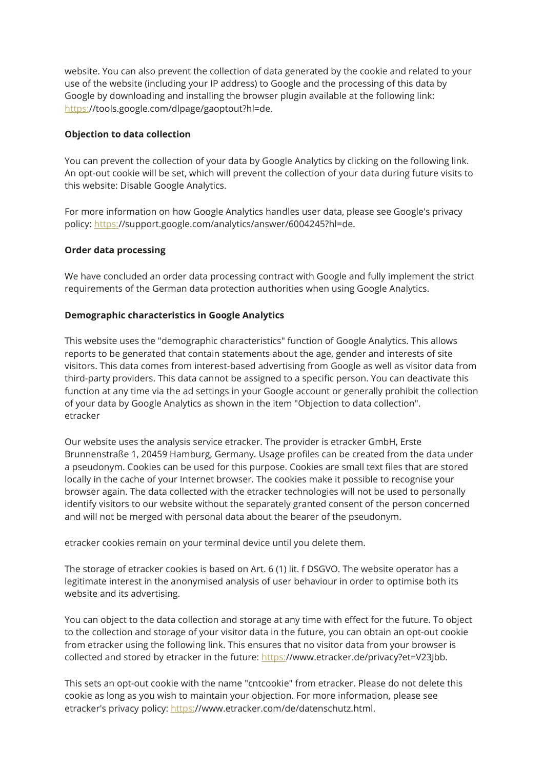website. You can also prevent the collection of data generated by the cookie and related to your use of the website (including your IP address) to Google and the processing of this data by Google by downloading and installing the browser plugin available at the following link: https://tools.google.com/dlpage/gaoptout?hl=de.

## **Objection to data collection**

You can prevent the collection of your data by Google Analytics by clicking on the following link. An opt-out cookie will be set, which will prevent the collection of your data during future visits to this website: Disable Google Analytics.

For more information on how Google Analytics handles user data, please see Google's privacy policy: https://support.google.com/analytics/answer/6004245?hl=de.

## **Order data processing**

We have concluded an order data processing contract with Google and fully implement the strict requirements of the German data protection authorities when using Google Analytics.

## **Demographic characteristics in Google Analytics**

This website uses the "demographic characteristics" function of Google Analytics. This allows reports to be generated that contain statements about the age, gender and interests of site visitors. This data comes from interest-based advertising from Google as well as visitor data from third-party providers. This data cannot be assigned to a specific person. You can deactivate this function at any time via the ad settings in your Google account or generally prohibit the collection of your data by Google Analytics as shown in the item "Objection to data collection". etracker

Our website uses the analysis service etracker. The provider is etracker GmbH, Erste Brunnenstraße 1, 20459 Hamburg, Germany. Usage profiles can be created from the data under a pseudonym. Cookies can be used for this purpose. Cookies are small text files that are stored locally in the cache of your Internet browser. The cookies make it possible to recognise your browser again. The data collected with the etracker technologies will not be used to personally identify visitors to our website without the separately granted consent of the person concerned and will not be merged with personal data about the bearer of the pseudonym.

etracker cookies remain on your terminal device until you delete them.

The storage of etracker cookies is based on Art. 6 (1) lit. f DSGVO. The website operator has a legitimate interest in the anonymised analysis of user behaviour in order to optimise both its website and its advertising.

You can object to the data collection and storage at any time with effect for the future. To object to the collection and storage of your visitor data in the future, you can obtain an opt-out cookie from etracker using the following link. This ensures that no visitor data from your browser is collected and stored by etracker in the future: https://www.etracker.de/privacy?et=V23Jbb.

This sets an opt-out cookie with the name "cntcookie" from etracker. Please do not delete this cookie as long as you wish to maintain your objection. For more information, please see etracker's privacy policy: https://www.etracker.com/de/datenschutz.html.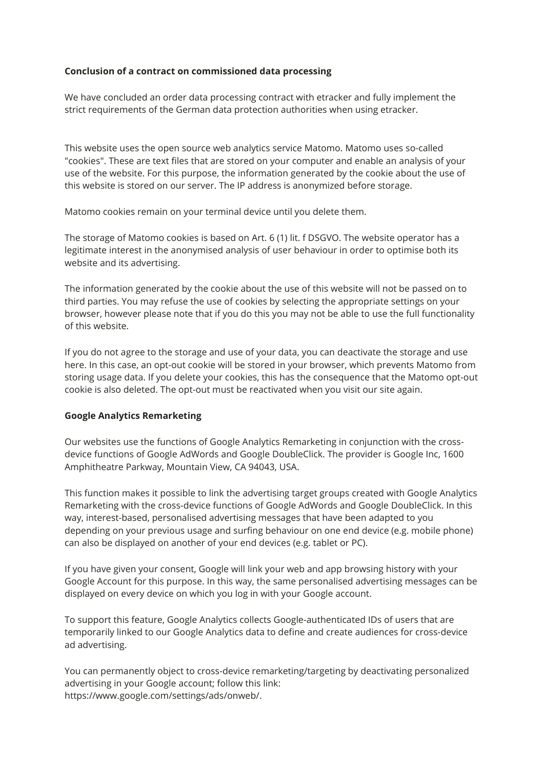# **Conclusion of a contract on commissioned data processing**

We have concluded an order data processing contract with etracker and fully implement the strict requirements of the German data protection authorities when using etracker.

This website uses the open source web analytics service Matomo. Matomo uses so-called "cookies". These are text files that are stored on your computer and enable an analysis of your use of the website. For this purpose, the information generated by the cookie about the use of this website is stored on our server. The IP address is anonymized before storage.

Matomo cookies remain on your terminal device until you delete them.

The storage of Matomo cookies is based on Art. 6 (1) lit. f DSGVO. The website operator has a legitimate interest in the anonymised analysis of user behaviour in order to optimise both its website and its advertising.

The information generated by the cookie about the use of this website will not be passed on to third parties. You may refuse the use of cookies by selecting the appropriate settings on your browser, however please note that if you do this you may not be able to use the full functionality of this website.

If you do not agree to the storage and use of your data, you can deactivate the storage and use here. In this case, an opt-out cookie will be stored in your browser, which prevents Matomo from storing usage data. If you delete your cookies, this has the consequence that the Matomo opt-out cookie is also deleted. The opt-out must be reactivated when you visit our site again.

# **Google Analytics Remarketing**

Our websites use the functions of Google Analytics Remarketing in conjunction with the crossdevice functions of Google AdWords and Google DoubleClick. The provider is Google Inc, 1600 Amphitheatre Parkway, Mountain View, CA 94043, USA.

This function makes it possible to link the advertising target groups created with Google Analytics Remarketing with the cross-device functions of Google AdWords and Google DoubleClick. In this way, interest-based, personalised advertising messages that have been adapted to you depending on your previous usage and surfing behaviour on one end device (e.g. mobile phone) can also be displayed on another of your end devices (e.g. tablet or PC).

If you have given your consent, Google will link your web and app browsing history with your Google Account for this purpose. In this way, the same personalised advertising messages can be displayed on every device on which you log in with your Google account.

To support this feature, Google Analytics collects Google-authenticated IDs of users that are temporarily linked to our Google Analytics data to define and create audiences for cross-device ad advertising.

You can permanently object to cross-device remarketing/targeting by deactivating personalized advertising in your Google account; follow this link: https://www.google.com/settings/ads/onweb/.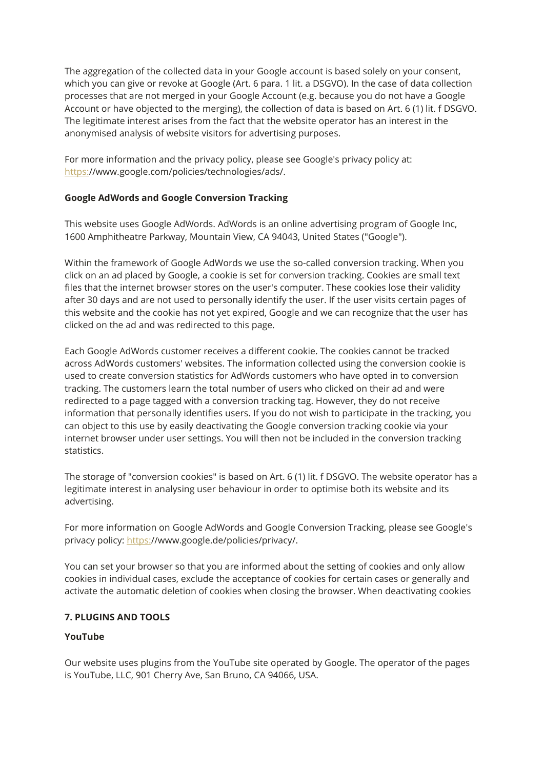The aggregation of the collected data in your Google account is based solely on your consent, which you can give or revoke at Google (Art. 6 para. 1 lit. a DSGVO). In the case of data collection processes that are not merged in your Google Account (e.g. because you do not have a Google Account or have objected to the merging), the collection of data is based on Art. 6 (1) lit. f DSGVO. The legitimate interest arises from the fact that the website operator has an interest in the anonymised analysis of website visitors for advertising purposes.

For more information and the privacy policy, please see Google's privacy policy at: https://www.google.com/policies/technologies/ads/.

# **Google AdWords and Google Conversion Tracking**

This website uses Google AdWords. AdWords is an online advertising program of Google Inc, 1600 Amphitheatre Parkway, Mountain View, CA 94043, United States ("Google").

Within the framework of Google AdWords we use the so-called conversion tracking. When you click on an ad placed by Google, a cookie is set for conversion tracking. Cookies are small text files that the internet browser stores on the user's computer. These cookies lose their validity after 30 days and are not used to personally identify the user. If the user visits certain pages of this website and the cookie has not yet expired, Google and we can recognize that the user has clicked on the ad and was redirected to this page.

Each Google AdWords customer receives a different cookie. The cookies cannot be tracked across AdWords customers' websites. The information collected using the conversion cookie is used to create conversion statistics for AdWords customers who have opted in to conversion tracking. The customers learn the total number of users who clicked on their ad and were redirected to a page tagged with a conversion tracking tag. However, they do not receive information that personally identifies users. If you do not wish to participate in the tracking, you can object to this use by easily deactivating the Google conversion tracking cookie via your internet browser under user settings. You will then not be included in the conversion tracking statistics.

The storage of "conversion cookies" is based on Art. 6 (1) lit. f DSGVO. The website operator has a legitimate interest in analysing user behaviour in order to optimise both its website and its advertising.

For more information on Google AdWords and Google Conversion Tracking, please see Google's privacy policy: https://www.google.de/policies/privacy/.

You can set your browser so that you are informed about the setting of cookies and only allow cookies in individual cases, exclude the acceptance of cookies for certain cases or generally and activate the automatic deletion of cookies when closing the browser. When deactivating cookies

# **7. PLUGINS AND TOOLS**

# **YouTube**

Our website uses plugins from the YouTube site operated by Google. The operator of the pages is YouTube, LLC, 901 Cherry Ave, San Bruno, CA 94066, USA.